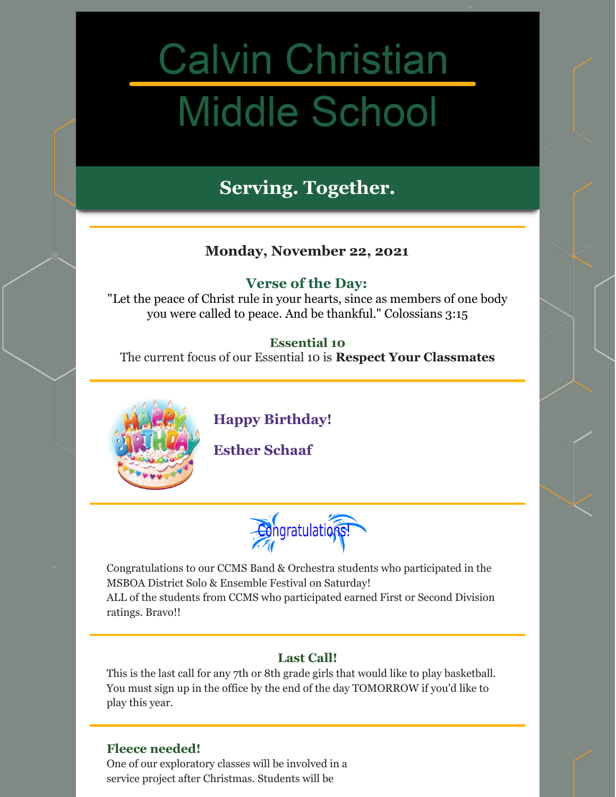# **Calvin Christian Middle School**

## **Serving. Together.**

## **Monday, November 22, 2021**

## **Verse of the Day:**

"Let the peace of Christ rule in your hearts, since as members of one body you were called to peace. And be thankful." Colossians 3:15

## **Essential 10**

The current focus of our Essential 10 is **Respect Your Classmates**



**Happy Birthday!**

**Esther Schaaf**

Congratulations!

Congratulations to our CCMS Band & Orchestra students who participated in the MSBOA District Solo & Ensemble Festival on Saturday!

ALL of the students from CCMS who participated earned First or Second Division ratings. Bravo!!

## **Last Call!**

This is the last call for any 7th or 8th grade girls that would like to play basketball. You must sign up in the office by the end of the day TOMORROW if you'd like to play this year.

### **Fleece needed!**

One of our exploratory classes will be involved in a service project after Christmas. Students will be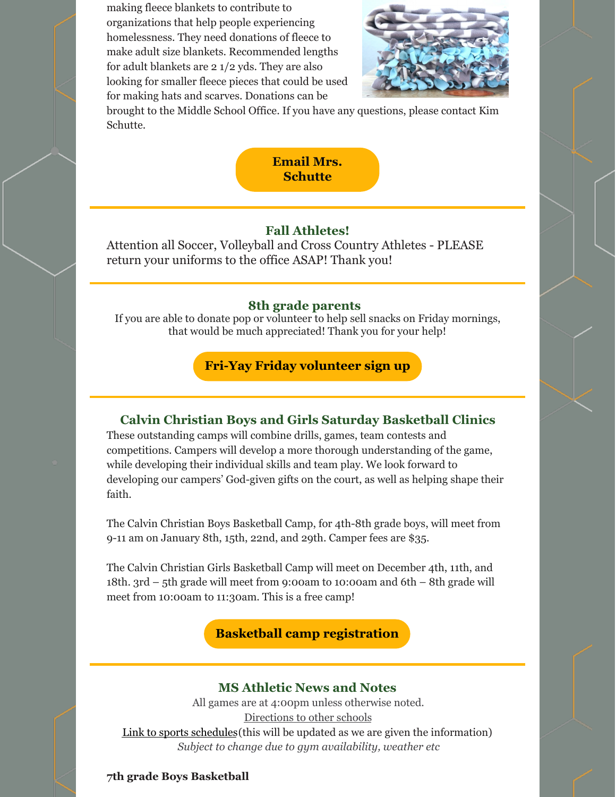making fleece blankets to contribute to organizations that help people experiencing homelessness. They need donations of fleece to make adult size blankets. Recommended lengths for adult blankets are 2 1/2 yds. They are also looking for smaller fleece pieces that could be used for making hats and scarves. Donations can be



brought to the Middle School Office. If you have any questions, please contact Kim Schutte.



#### **Fall Athletes!**

Attention all Soccer, Volleyball and Cross Country Athletes - PLEASE return your uniforms to the office ASAP! Thank you!

#### **8th grade parents**

If you are able to donate pop or volunteer to help sell snacks on Friday mornings, that would be much appreciated! Thank you for your help!

**Fri-Yay Friday [volunteer](https://www.signupgenius.com/go/30e0d4ea4a823a0f49-friyay) sign up**

#### **Calvin Christian Boys and Girls Saturday Basketball Clinics**

These outstanding camps will combine drills, games, team contests and competitions. Campers will develop a more thorough understanding of the game, while developing their individual skills and team play. We look forward to developing our campers' God-given gifts on the court, as well as helping shape their faith.

The Calvin Christian Boys Basketball Camp, for 4th-8th grade boys, will meet from 9-11 am on January 8th, 15th, 22nd, and 29th. Camper fees are \$35.

The Calvin Christian Girls Basketball Camp will meet on December 4th, 11th, and 18th. 3rd – 5th grade will meet from 9:00am to 10:00am and 6th – 8th grade will meet from 10:00am to 11:30am. This is a free camp!

#### **Basketball camp [registration](https://www.gosquires.org/camps-events/)**

#### **MS Athletic News and Notes**

All games are at 4:00pm unless otherwise noted. [Directions](https://www.gosquires.org/sports/middle-school-sports/locations/) to other schools Link to sports [schedules](https://www.gosquires.org/sports/middle-school-sports/schedule/)(this will be updated as we are given the information) *Subject to change due to gym availability, weather etc*

#### **7th grade Boys Basketball**